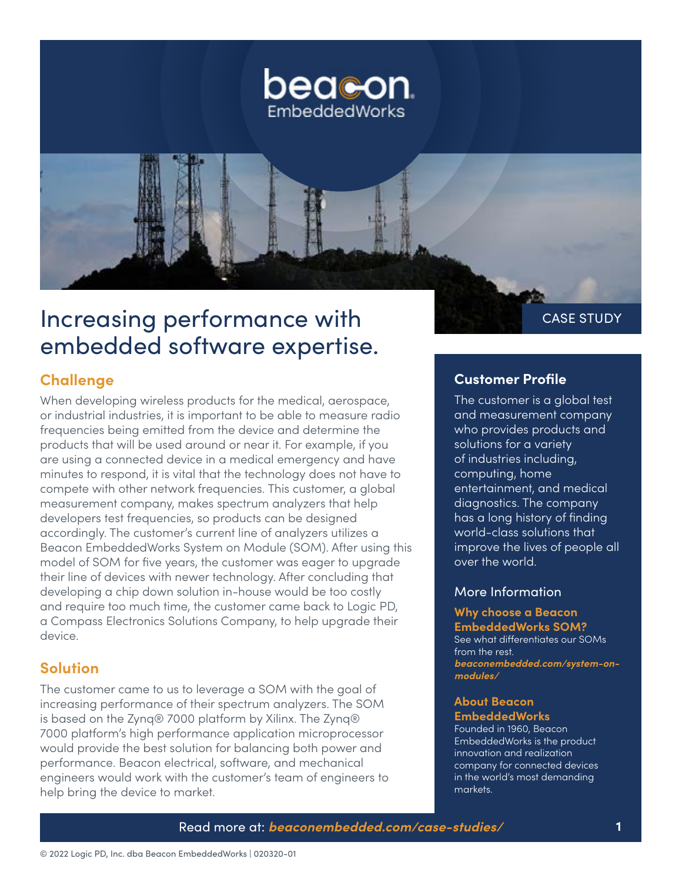

# Increasing performance with **Exercise Strupt CASE STUDY** embedded software expertise.

## **Challenge**

When developing wireless products for the medical, aerospace, or industrial industries, it is important to be able to measure radio frequencies being emitted from the device and determine the products that will be used around or near it. For example, if you are using a connected device in a medical emergency and have minutes to respond, it is vital that the technology does not have to compete with other network frequencies. This customer, a global measurement company, makes spectrum analyzers that help developers test frequencies, so products can be designed accordingly. The customer's current line of analyzers utilizes a Beacon EmbeddedWorks System on Module (SOM). After using this model of SOM for five years, the customer was eager to upgrade their line of devices with newer technology. After concluding that developing a chip down solution in-house would be too costly and require too much time, the customer came back to Logic PD, a Compass Electronics Solutions Company, to help upgrade their device.

## **Solution**

The customer came to us to leverage a SOM with the goal of increasing performance of their spectrum analyzers. The SOM is based on the Zynq® 7000 platform by Xilinx. The Zynq® 7000 platform's high performance application microprocessor would provide the best solution for balancing both power and performance. Beacon electrical, software, and mechanical engineers would work with the customer's team of engineers to help bring the device to market.

#### **Customer Profile**

The customer is a global test and measurement company who provides products and solutions for a variety of industries including, computing, home entertainment, and medical diagnostics. The company has a long history of finding world-class solutions that improve the lives of people all over the world.

#### More Information

#### **Why choose a Beacon EmbeddedWorks SOM?**

See what differentiates our SOMs from the rest. *[beaconembedded.com/system-on](https://beaconembedded.com/system-on-modules/)[modules/](https://beaconembedded.com/system-on-modules/)*

#### **About Beacon EmbeddedWorks**

Founded in 1960, Beacon EmbeddedWorks is the product innovation and realization company for connected devices in the world's most demanding markets.

#### Read more at: *[beaconembedded.com/case-studies/](https://beaconembedded.com/case-studies/)* **1**